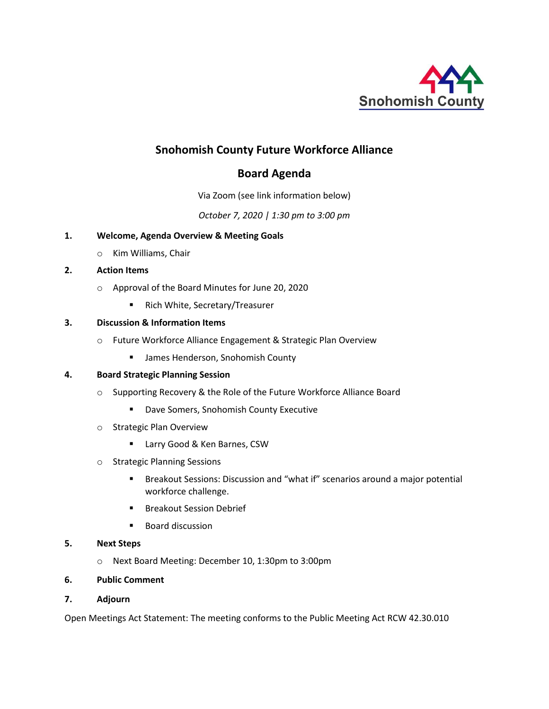

# **Snohomish County Future Workforce Alliance**

## **Board Agenda**

Via Zoom (see link information below)

*October 7, 2020 | 1:30 pm to 3:00 pm*

### **1. Welcome, Agenda Overview & Meeting Goals**

o Kim Williams, Chair

## **2. Action Items**

- o Approval of the Board Minutes for June 20, 2020
	- Rich White, Secretary/Treasurer

## **3. Discussion & Information Items**

- o Future Workforce Alliance Engagement & Strategic Plan Overview
	- James Henderson, Snohomish County

## **4. Board Strategic Planning Session**

- o Supporting Recovery & the Role of the Future Workforce Alliance Board
	- Dave Somers, Snohomish County Executive
- o Strategic Plan Overview
	- Larry Good & Ken Barnes, CSW
- o Strategic Planning Sessions
	- Breakout Sessions: Discussion and "what if" scenarios around a major potential workforce challenge.
	- Breakout Session Debrief
	- Board discussion

### **5. Next Steps**

- o Next Board Meeting: December 10, 1:30pm to 3:00pm
- **6. Public Comment**

### **7. Adjourn**

Open Meetings Act Statement: The meeting conforms to the Public Meeting Act RCW 42.30.010